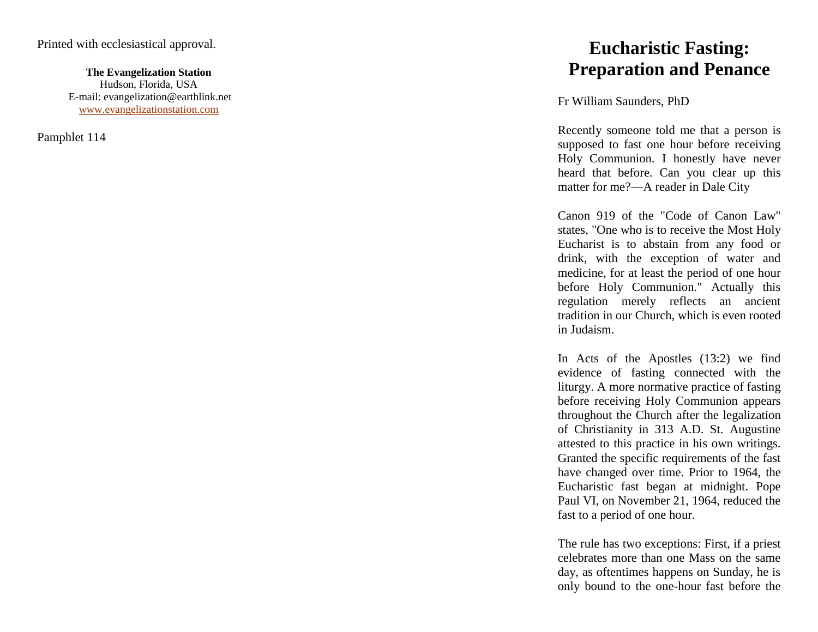## Printed with ecclesiastical approval.

**The Evangelization Station** Hudson, Florida, USA E -mail: evangelization@earthlink.net [www.evangelizationstation.com](http://www.pjpiisoe.org/)

Pamphlet 114

Fr William Saunders, PhD

ical approval.<br> **Eucharistic Fasting:**<br> **Eucharistic Fasting:**<br>
Free paration and Penance<br>
Free Paration and Penance<br>
Free Paration Station.com<br>
Preparation and Penance<br>
Free Paration Station.com<br>
Recently someone told me Recently someone told me that a person is supposed to fast one hour before receiving Holy Communion. I honestly have never heard that before. Can you clear up this matter for me? —A reader in Dale City

> Canon 919 of the "Code of Canon Law" states, "One who is to receive the Most Holy Eucharist is to abstain from any food or drink, with the exception of water and medicine, for at least the period of one hour before Holy Communion." Actually this regulation merely reflects an ancient tradition in our Church, which is even rooted in Judaism.

> In Acts of the Apostles (13:2) we find evidence of fasting connected with the liturgy. A more normative practice of fasting before receiving Holy Communion appears throughout the Church after the legalization of Christianity in 313 A.D. St. Augustine attested to this practice in his own writings. Granted the specific requirements of the fast have changed over time. Prior to 1964, the Eucharistic fast began at midnight. Pope Paul VI, on November 21, 1964, reduced the fast to a period of one hour.

> The rule has two exceptions: First, if a priest celebrates more than one Mass on the same day, as oftentimes happens on Sunday, he is only bound to the one -hour fast before the